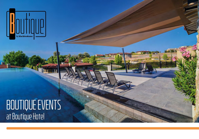

# BOUTIQUE EVENTS at Boutique Hotel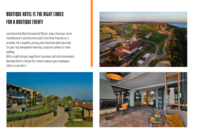# **BOUTIQUE HOTEL IS THE RIGHT CHOICE FOR A BOUTIQUE EVENT!**

Located within BlackSearama Golf Resort, only a few hours drive from Bucharest and Constanta and SS min drive from Varna, it provides the tranquility, privacy and relaxation which you need for your top-management meeting, corporate seminar or teambuilding.

With a stylish design, magnificent sea views and safe environment, Boutique Hotel is the perfect venue to please your employees, clients or partners!





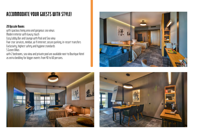### **ACCOMMODATE YOUR GUESTS WITH STYLE!**

#### **20 Upscale Rooms**

with spacious living area and gorgeous sea views Modern interior with luxury touch Cozy Lobby Bar and Lounge with Pool and Sea view Five-star services, minibar, wi-fi internet, secure parking, in-resort transfers Exclusivity, highest safety and hygiene standards 5 Green Villas

with 2 bedrooms, sea view and private pool are available next to Boutique Hotel as extra bedding for bigger events from 40 to 60 persons.





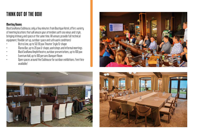### **THINK OUT OF THE BOX!**

#### **Meeting Rooms**

BlackSeaRama Clubhouse, only a few minutes from Boutique Hotel, of fers variety of meeting locations that will amaze your at tendees with sea views and style, bringing intimacy and space at the same time. All venues provide full technical equipment, flexible set up, outdoor space and safe work conditions!

- Bistro Line, up to 50/30 pax Theater Style/U-shape
- Marea Bar, up to 20 pax U-shape, workshops and informal meetings
- BlackSeaRama Amphitheatre, outdoor presentations, up to 100 pax
- Eventum Hall, up to 100 persons Banquet Room
- Open spaces around the Clubhouse for outdoor exhibitions /tent hire available/





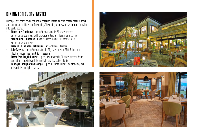## **DINING FOR EVERY TASTE!**

Our top-class chefs cover the entire catering spectrum: from coffee breaks, snacks and canapés to buffets and fine dining. The dining venues are easily transformable into party spots.

- **Bistro Line, Clubhouse** up to 40 seats inside, 60 seats terrace Buffet or served meals with pre-ordered menu, international cuisine
- **Steak House, Clubhouse** up to 60 seats inside, 70 seats terrace Buffet or served meals
- **Pizzeria La Campana, Bell Tower** up to 50 seats terrace
- **Lake Taverna** up to 40 seats inside, 80 seats outside BBQ, Balkan and Mediterranean meals and fish (seasonal)
- **Marea Asia Bar, Clubhouse** up to 30 seats inside, 30 seats terrace Asian specialties, cocktails, drinks and light snacks, poker nights
- **Boutique Lobby Bar and Lounge** up to 40 seats, 60 outside standing Cocktails, drinks and light snacks





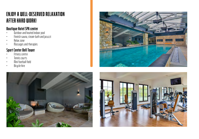#### **ENJOY A WELL-DESERVED REL A X ATION AFTER HARD WORK!**

#### **Boutique Hotel SPA center**

- Outdoor and heated indoor pool
- Finnish sauna, steam-bath and jacuzzi
- Relax zone
- Massages and therapies

#### **Sport Center Bell Tower**

- Fitness centre
- Tennis courts
- Mini football field
- Bicycle hire





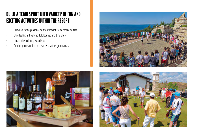#### **BUILD A TEAM SPIRIT WITH VARIETY OF FUN AND EXCITING ACTIVITIES WITHIN THE RESORT!**

- Golf clinic for beginners or golf tournament for advanced golfers
- Wine tasting at Boutique Hotel Lounge and Wine Shop
- Master chef culinary experience
- Outdoor games within the resort's spacious green areas





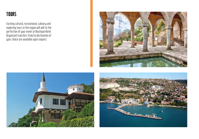#### **TOURS**

Exciting cultural, recreational, culinary and exploring tours in the region will add to the perfection of your event at Boutique Hotel. Organized transfers from/to destination of your choice are available upon request.